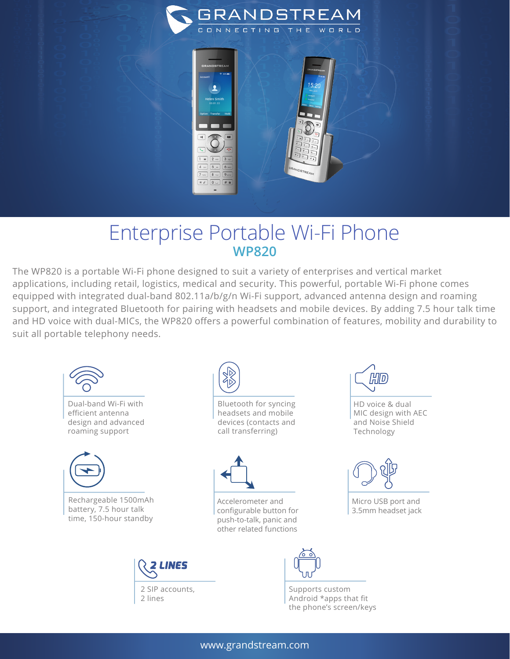



## Enterprise Portable Wi-Fi Phone **WP820**

The WP820 is a portable Wi-Fi phone designed to suit a variety of enterprises and vertical market applications, including retail, logistics, medical and security. This powerful, portable Wi-Fi phone comes equipped with integrated dual-band 802.11a/b/g/n Wi-Fi support, advanced antenna design and roaming support, and integrated Bluetooth for pairing with headsets and mobile devices. By adding 7.5 hour talk time and HD voice with dual-MICs, the WP820 offers a powerful combination of features, mobility and durability to suit all portable telephony needs.



(H||D

HD voice & dual MIC design with AEC and Noise Shield Technology



Micro USB port and 3.5mm headset jack



Supports custom Android \*apps that fit the phone's screen/keys

## www.grandstream.com